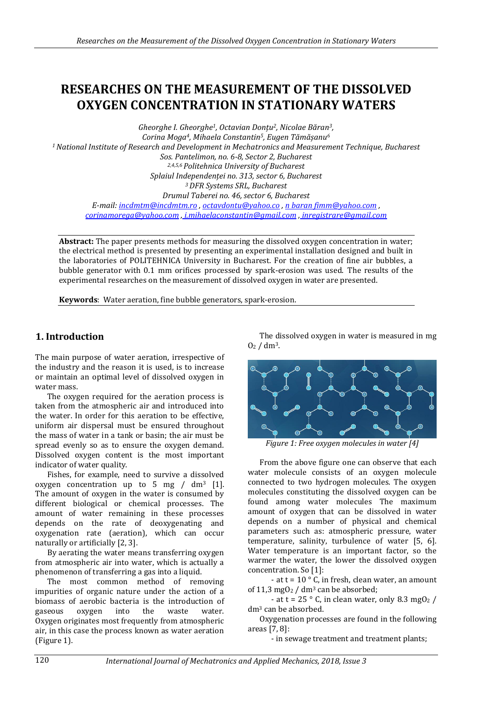# **RESEARCHES ON THE MEASUREMENT OF THE DISSOLVED OXYGEN CONCENTRATION IN STATIONARY WATERS**

*Gheorghe I. Gheorghe1, Octavian Donțu2, Nicolae Băran3, Corina Moga4, Mihaela Constantin5, Eugen Tămășanu<sup>6</sup> <sup>1</sup>National Institute of Research and Development in Mechatronics and Measurement Technique, Bucharest Sos. Pantelimon, no. 6-8, Sector 2, Bucharest 2,4,5,6 Politehnica University of Bucharest Splaiul Independenței no. 313, sector 6, Bucharest <sup>3</sup>DFR Systems SRL, Bucharest Drumul Taberei no. 46, sector 6, Bucharest E-mail[: incdmtm@incdmtm.ro](mailto:incdmtm@incdmtm.ro) [, octavdontu@yahoo.co](mailto:octavdontu@yahoo.co) , n bara[n fimm@yahoo.com](mailto:fimm@yahoo.com) , [corinamorega@yahoo.com](mailto:corinamorega@yahoo.com) , [i.mihaelaconstantin@gmail.com](mailto:i.mihaelaconstantin@gmail.com) , inregistrare@gmail.com*

**Abstract:** The paper presents methods for measuring the dissolved oxygen concentration in water; the electrical method is presented by presenting an experimental installation designed and built in the laboratories of POLITEHNICA University in Bucharest. For the creation of fine air bubbles, a bubble generator with 0.1 mm orifices processed by spark-erosion was used. The results of the experimental researches on the measurement of dissolved oxygen in water are presented.

**Keywords**: Water aeration, fine bubble generators, spark-erosion.

# **1. Introduction**

The main purpose of water aeration, irrespective of the industry and the reason it is used, is to increase or maintain an optimal level of dissolved oxygen in water mass.

The oxygen required for the aeration process is taken from the atmospheric air and introduced into the water. In order for this aeration to be effective, uniform air dispersal must be ensured throughout the mass of water in a tank or basin; the air must be spread evenly so as to ensure the oxygen demand. Dissolved oxygen content is the most important indicator of water quality.

Fishes, for example, need to survive a dissolved oxygen concentration up to 5 mg  $/$  dm<sup>3</sup> [1]. The amount of oxygen in the water is consumed by different biological or chemical processes. The amount of water remaining in these processes depends on the rate of deoxygenating and oxygenation rate (aeration), which can occur naturally or artificially [2, 3].

By aerating the water means transferring oxygen from atmospheric air into water, which is actually a phenomenon of transferring a gas into a liquid.

The most common method of removing impurities of organic nature under the action of a biomass of aerobic bacteria is the introduction of gaseous oxygen into the waste water. Oxygen originates most frequently from atmospheric air, in this case the process known as water aeration (Figure 1).

The dissolved oxygen in water is measured in mg  $O<sub>2</sub>$  / dm<sup>3</sup>.



*Figure 1: Free oxygen molecules in water [4]*

From the above figure one can observe that each water molecule consists of an oxygen molecule connected to two hydrogen molecules. The oxygen molecules constituting the dissolved oxygen can be found among water molecules The maximum amount of oxygen that can be dissolved in water depends on a number of physical and chemical parameters such as: atmospheric pressure, water temperature, salinity, turbulence of water [5, 6]. Water temperature is an important factor, so the warmer the water, the lower the dissolved oxygen concentration. So [1]:

- at t =  $10^{\circ}$  C, in fresh, clean water, an amount of 11,3 mgO<sub>2</sub> / dm<sup>3</sup> can be absorbed;

- at t = 25  $\degree$  C, in clean water, only 8.3 mgO<sub>2</sub> / dm<sup>3</sup> can be absorbed.

Oxygenation processes are found in the following areas [7, 8]:

- in sewage treatment and treatment plants;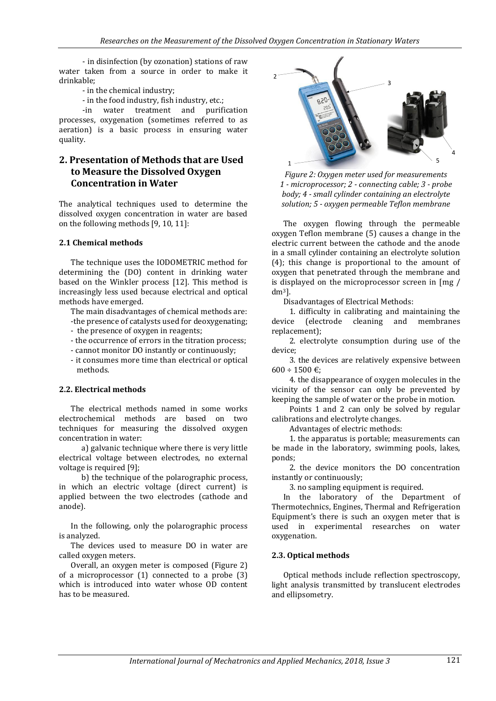- in disinfection (by ozonation) stations of raw water taken from a source in order to make it drinkable;

- in the chemical industry;
- in the food industry, fish industry, etc.;

-in water treatment and purification processes, oxygenation (sometimes referred to as aeration) is a basic process in ensuring water quality.

# **2. Presentation of Methods that are Used to Measure the Dissolved Oxygen Concentration in Water**

The analytical techniques used to determine the dissolved oxygen concentration in water are based on the following methods [9, 10, 11]:

#### **2.1 Chemical methods**

The technique uses the IODOMETRIC method for determining the (DO) content in drinking water based on the Winkler process [12]. This method is increasingly less used because electrical and optical methods have emerged.

The main disadvantages of chemical methods are:

- -the presence of catalysts used for deoxygenating;
- the presence of oxygen in reagents;
- the occurrence of errors in the titration process;
- cannot monitor DO instantly or continuously;
- it consumes more time than electrical or optical methods.

#### **2.2. Electrical methods**

The electrical methods named in some works electrochemical methods are based on two techniques for measuring the dissolved oxygen concentration in water:

a) galvanic technique where there is very little electrical voltage between electrodes, no external voltage is required [9];

b) the technique of the polarographic process, in which an electric voltage (direct current) is applied between the two electrodes (cathode and anode).

In the following, only the polarographic process is analyzed.

The devices used to measure DO in water are called oxygen meters.

Overall, an oxygen meter is composed (Figure 2) of a microprocessor (1) connected to a probe (3) which is introduced into water whose OD content has to be measured.



*Figure 2: Oxygen meter used for measurements 1 - microprocessor; 2 - connecting cable; 3 - probe body; 4 - small cylinder containing an electrolyte solution; 5 - oxygen permeable Teflon membrane*

The oxygen flowing through the permeable oxygen Teflon membrane (5) causes a change in the electric current between the cathode and the anode in a small cylinder containing an electrolyte solution (4); this change is proportional to the amount of oxygen that penetrated through the membrane and is displayed on the microprocessor screen in [mg / dm3].

Disadvantages of Electrical Methods:

1. difficulty in calibrating and maintaining the device (electrode cleaning and membranes replacement);

2. electrolyte consumption during use of the device;

3. the devices are relatively expensive between  $600 \div 1500 \in$ :

4. the disappearance of oxygen molecules in the vicinity of the sensor can only be prevented by keeping the sample of water or the probe in motion.

Points 1 and 2 can only be solved by regular calibrations and electrolyte changes.

Advantages of electric methods:

1. the apparatus is portable; measurements can be made in the laboratory, swimming pools, lakes, ponds;

2. the device monitors the DO concentration instantly or continuously;

3. no sampling equipment is required.

In the laboratory of the Department of Thermotechnics, Engines, Thermal and Refrigeration Equipment's there is such an oxygen meter that is used in experimental researches on water oxygenation.

#### **2.3. Optical methods**

Optical methods include reflection spectroscopy, light analysis transmitted by translucent electrodes and ellipsometry.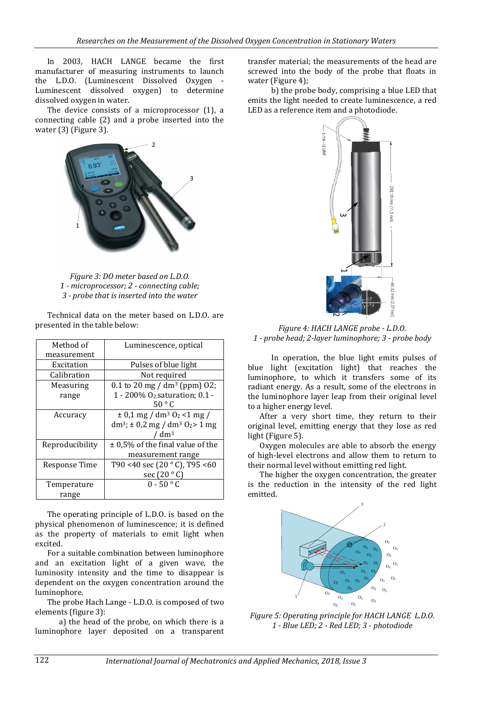In 2003, HACH LANGE became the first manufacturer of measuring instruments to launch the L.D.O. (Luminescent Dissolved Oxygen - Luminescent dissolved oxygen) to determine dissolved oxygen in water.

The device consists of a microprocessor (1), a connecting cable (2) and a probe inserted into the water (3) (Figure 3).



*Figure 3: DO meter based on L.D.O. 1 - microprocessor; 2 - connecting cable; 3 - probe that is inserted into the water*

Technical data on the meter based on L.D.O. are presented in the table below:

| Method of       | Luminescence, optical                                     |  |  |  |  |
|-----------------|-----------------------------------------------------------|--|--|--|--|
| measurement     |                                                           |  |  |  |  |
| Excitation      | Pulses of blue light                                      |  |  |  |  |
| Calibration     | Not required                                              |  |  |  |  |
| Measuring       | $0.1$ to 20 mg / dm <sup>3</sup> (ppm) 02;                |  |  |  |  |
| range           | 1 - 200% O <sub>2</sub> saturation; 0.1 -                 |  |  |  |  |
|                 | 50 °C                                                     |  |  |  |  |
| Accuracy        | $\pm$ 0,1 mg / dm <sup>3</sup> O <sub>2</sub> <1 mg /     |  |  |  |  |
|                 | $dm^3$ ; ± 0,2 mg / dm <sup>3</sup> O <sub>2</sub> > 1 mg |  |  |  |  |
|                 | $^{\prime}$ dm <sup>3</sup>                               |  |  |  |  |
| Reproducibility | $\pm$ 0,5% of the final value of the                      |  |  |  |  |
|                 | measurement range                                         |  |  |  |  |
| Response Time   | T90 <40 sec (20 $^{\circ}$ C), T95 <60                    |  |  |  |  |
|                 | sec $(20 °C)$                                             |  |  |  |  |
| Temperature     | $0 - 50$ ° C                                              |  |  |  |  |
| range           |                                                           |  |  |  |  |

The operating principle of L.D.O. is based on the physical phenomenon of luminescence; it is defined as the property of materials to emit light when excited.

For a suitable combination between luminophore and an excitation light of a given wave, the luminosity intensity and the time to disappear is dependent on the oxygen concentration around the luminophore.

The probe Hach Lange - L.D.O. is composed of two elements (figure 3):

a) the head of the probe, on which there is a luminophore layer deposited on a transparent

transfer material; the measurements of the head are screwed into the body of the probe that floats in water (Figure 4);

b) the probe body, comprising a blue LED that emits the light needed to create luminescence, a red LED as a reference item and a photodiode.



*Figure 4: HACH LANGE probe - L.D.O. 1 - probe head; 2-layer luminophore; 3 - probe body*

In operation, the blue light emits pulses of blue light (excitation light) that reaches the luminophore, to which it transfers some of its radiant energy. As a result, some of the electrons in the luminophore layer leap from their original level to a higher energy level.

After a very short time, they return to their original level, emitting energy that they lose as red light (Figure 5).

Oxygen molecules are able to absorb the energy of high-level electrons and allow them to return to their normal level without emitting red light.

The higher the oxygen concentration, the greater is the reduction in the intensity of the red light emitted.



*Figure 5: Operating principle for HACH LANGE L.D.O. 1 - Blue LED; 2 - Red LED; 3 - photodiode*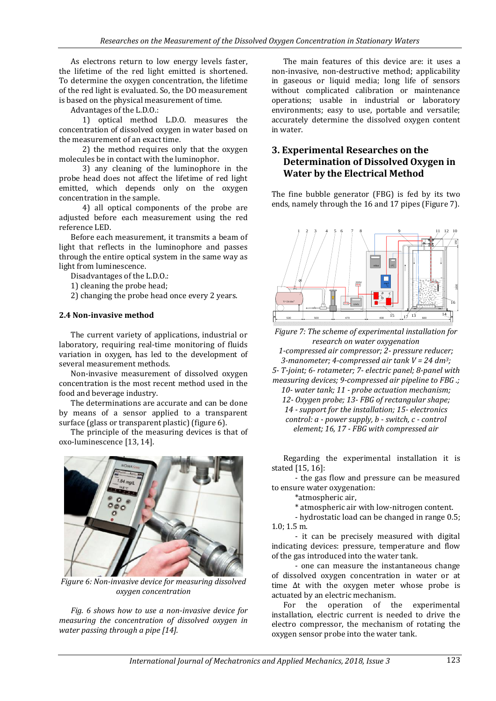As electrons return to low energy levels faster, the lifetime of the red light emitted is shortened. To determine the oxygen concentration, the lifetime of the red light is evaluated. So, the DO measurement is based on the physical measurement of time.

Advantages of the L.D.O.:

1) optical method L.D.O. measures the concentration of dissolved oxygen in water based on the measurement of an exact time.

2) the method requires only that the oxygen molecules be in contact with the luminophor.

3) any cleaning of the luminophore in the probe head does not affect the lifetime of red light emitted, which depends only on the oxygen concentration in the sample.

4) all optical components of the probe are adjusted before each measurement using the red reference LED.

Before each measurement, it transmits a beam of light that reflects in the luminophore and passes through the entire optical system in the same way as light from luminescence.

Disadvantages of the L.D.O.:

1) cleaning the probe head;

2) changing the probe head once every 2 years.

#### **2.4 Non-invasive method**

The current variety of applications, industrial or laboratory, requiring real-time monitoring of fluids variation in oxygen, has led to the development of several measurement methods.

Non-invasive measurement of dissolved oxygen concentration is the most recent method used in the food and beverage industry.

The determinations are accurate and can be done by means of a sensor applied to a transparent surface (glass or transparent plastic) (figure 6).

The principle of the measuring devices is that of oxo-luminescence [13, 14].



*Figure 6: Non-invasive device for measuring dissolved oxygen concentration*

*Fig. 6 shows how to use a non-invasive device for measuring the concentration of dissolved oxygen in water passing through a pipe [14].*

The main features of this device are: it uses a non-invasive, non-destructive method; applicability in gaseous or liquid media; long life of sensors without complicated calibration or maintenance operations; usable in industrial or laboratory environments; easy to use, portable and versatile; accurately determine the dissolved oxygen content in water.

# **3. Experimental Researches on the Determination of Dissolved Oxygen in Water by the Electrical Method**

The fine bubble generator (FBG) is fed by its two ends, namely through the 16 and 17 pipes (Figure 7).



*Figure 7: The scheme of experimental installation for research on water oxygenation 1-compressed air compressor; 2- pressure reducer; 3-manometer; 4-compressed air tank V = 24 dm3; 5- T-joint; 6- rotameter; 7- electric panel; 8-panel with measuring devices; 9-compressed air pipeline to FBG .; 10- water tank; 11 - probe actuation mechanism; 12- Oxygen probe; 13- FBG of rectangular shape; 14 - support for the installation; 15- electronics control: a - power supply, b - switch, c - control element; 16, 17 - FBG with compressed air*

Regarding the experimental installation it is stated [15, 16]:

- the gas flow and pressure can be measured to ensure water oxygenation:

\*atmospheric air,

\* atmospheric air with low-nitrogen content.

- hydrostatic load can be changed in range 0.5; 1.0; 1.5 m.

- it can be precisely measured with digital indicating devices: pressure, temperature and flow of the gas introduced into the water tank.

- one can measure the instantaneous change of dissolved oxygen concentration in water or at time Δt with the oxygen meter whose probe is actuated by an electric mechanism.

For the operation of the experimental installation, electric current is needed to drive the electro compressor, the mechanism of rotating the oxygen sensor probe into the water tank.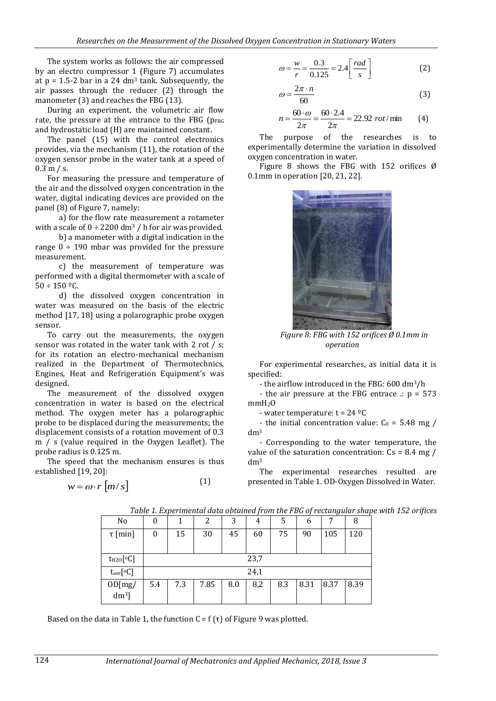The system works as follows: the air compressed by an electro compressor 1 (Figure 7) accumulates at  $p = 1.5 - 2$  bar in a 24 dm<sup>3</sup> tank. Subsequently, the air passes through the reducer (2) through the manometer (3) and reaches the FBG (13).

During an experiment, the volumetric air flow rate, the pressure at the entrance to the FBG (pFBG and hydrostatic load (H) are maintained constant.

The panel (15) with the control electronics provides, via the mechanism (11), the rotation of the oxygen sensor probe in the water tank at a speed of 0.3 m / s.

For measuring the pressure and temperature of the air and the dissolved oxygen concentration in the water, digital indicating devices are provided on the panel (8) of Figure 7, namely:

a) for the flow rate measurement a rotameter with a scale of  $0 \div 2200$  dm<sup>3</sup> / h for air was provided.

b) a manometer with a digital indication in the range  $0 \div 190$  mbar was provided for the pressure measurement.

c) the measurement of temperature was performed with a digital thermometer with a scale of  $50 \div 150$  °C.

d) the dissolved oxygen concentration in water was measured on the basis of the electric method [17, 18] using a polarographic probe oxygen sensor.

To carry out the measurements, the oxygen sensor was rotated in the water tank with 2 rot / s; for its rotation an electro-mechanical mechanism realized in the Department of Thermotechnics, Engines, Heat and Refrigeration Equipment's was designed.

The measurement of the dissolved oxygen concentration in water is based on the electrical method. The oxygen meter has a polarographic probe to be displaced during the measurements; the displacement consists of a rotation movement of 0.3 m / s (value required in the Oxygen Leaflet). The probe radius is 0.125 m.

The speed that the mechanism ensures is thus established [19, 20]:

$$
w = \omega \cdot r \left[ m/s \right] \tag{1}
$$

$$
\omega = \frac{w}{r} = \frac{0.3}{0.125} = 2.4 \left[ \frac{rad}{s} \right]
$$
 (2)

$$
\omega = \frac{2\pi \cdot n}{60} \tag{3}
$$

$$
n = \frac{60 \cdot \omega}{2\pi} = \frac{60 \cdot 2.4}{2\pi} = 22.92 \text{ rot/min} \qquad (4)
$$

The purpose of the researches is to experimentally determine the variation in dissolved oxygen concentration in water.

Figure 8 shows the FBG with 152 orifices  $\emptyset$ 0.1mm in operation [20, 21, 22].



*Figure 8: FBG with 152 orifices Ø 0.1mm in operation*

For experimental researches, as initial data it is specified:

- the airflow introduced in the FBG: 600 dm3/h

- the air pressure at the FBG entrace  $\therefore$  p = 573 mmH<sub>2</sub>O

- water temperature: t = 24 ºC

- the initial concentration value:  $C_0 = 5.48$  mg / dm<sup>3</sup>

- Corresponding to the water temperature, the value of the saturation concentration:  $Cs = 8.4$  mg / dm<sup>3</sup>

The experimental researches resulted are presented in Table 1. OD-Oxygen Dissolved in Water.

| No                          | 0                | 1   | 2    | 3   | 4   | 5   | h    |      | 8    |  |
|-----------------------------|------------------|-----|------|-----|-----|-----|------|------|------|--|
| $\tau$ [min]                | $\boldsymbol{0}$ | 15  | 30   | 45  | 60  | 75  | 90   | 105  | 120  |  |
|                             |                  |     |      |     |     |     |      |      |      |  |
| $t_{H20}$ [°C]              | 23,7             |     |      |     |     |     |      |      |      |  |
| $t_{\text{aer}}[\text{°C}]$ | 24,1             |     |      |     |     |     |      |      |      |  |
| OD[mg/<br>$dm^3$ ]          | 5.4              | 7.3 | 7.85 | 8.0 | 8,2 | 8.3 | 8.31 | 8.37 | 8.39 |  |

*Table 1. Experimental data obtained from the FBG of rectangular shape with 152 orifices*

Based on the data in Table 1, the function  $C = f(\tau)$  of Figure 9 was plotted.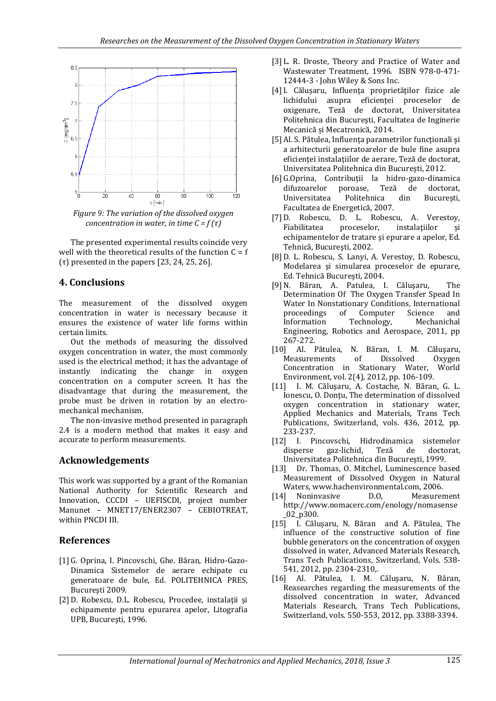

*Figure 9: The variation of the dissolved oxygen concentration in water, in time C = f (τ)*

The presented experimental results coincide very well with the theoretical results of the function  $C = f$ (τ) presented in the papers [23, 24, 25, 26].

### **4. Conclusions**

The measurement of the dissolved oxygen concentration in water is necessary because it ensures the existence of water life forms within certain limits.

Out the methods of measuring the dissolved oxygen concentration in water, the most commonly used is the electrical method; it has the advantage of instantly indicating the change in oxygen concentration on a computer screen. It has the disadvantage that during the measurement, the probe must be driven in rotation by an electromechanical mechanism.

The non-invasive method presented in paragraph 2.4 is a modern method that makes it easy and accurate to perform measurements.

# **Acknowledgements**

This work was supported by a grant of the Romanian National Authority for Scientific Research and Innovation, CCCDI – UEFISCDI, project number Manunet – MNET17/ENER2307 – CEBIOTREAT, within PNCDI III.

# **References**

- [1] G. Oprina, I. Pincovschi, Ghe. Băran, Hidro-Gazo-Dinamica Sistemelor de aerare echipate cu generatoare de bule, Ed. POLITEHNICA PRES, Bucureşti 2009.
- [2] D. Robescu, D.L. Robescu, Procedee, instalatii si echipamente pentru epurarea apelor, Litografia UPB, Bucureşti, 1996.
- [3] L. R. Droste, Theory and Practice of Water and Wastewater Treatment, 1996. ISBN 978-0-471- 12444-3 - John Wiley & Sons Inc.
- [4]I. Călușaru, Influenţa proprietăţilor fizice ale lichidului asupra eficienţei proceselor de oxigenare, Teză de doctorat, Universitatea Politehnica din Bucureşti, Facultatea de Inginerie Mecanică și Mecatronică, 2014.
- [5] Al. S. Pătulea, Influenţa parametrilor funcţionali şi a arhitecturii generatoarelor de bule fine asupra eficienței instalațiilor de aerare, Teză de doctorat, Universitatea Politehnica din Bucureşti, 2012.
- [6] G.Oprina, Contribuţii la hidro-gazo-dinamica difuzoarelor poroase, Teză de doctorat, Universitatea Politehnica din Bucureşti, Facultatea de Energetică, 2007.
- [7] D. Robescu, D. L. Robescu, A. Verestoy, Fiabilitatea proceselor, instalaţiilor şi echipamentelor de tratare şi epurare a apelor, Ed. Tehnică, Bucureşti, 2002.
- [8] D. L. Robescu, S. Lanyi, A. Verestoy, D. Robescu, Modelarea și simularea proceselor de epurare, Ed. Tehnică Bucureşti, 2004.
- [9]N. Băran, A. Patulea, I. Căluşaru, The Determination Of The Oxygen Transfer Spead In Water In Nonstationary Conditions, International proceedings of Computer Science and Information Technology, Mechanichal Engineering, Robotics and Aerospace, 2011, pp 267-272.
- [10] Al. Pătulea, N. Băran, I. M. Căluşaru, Measurements of Dissolved Oxygen Concentration in Stationary Water, World Environment, vol. 2(4), 2012, pp. 106-109.
- [11] I. M. Căluşaru, A. Costache, N. Băran, G. L. Ionescu, O. Donţu, The determination of dissolved oxygen concentration in stationary water, Applied Mechanics and Materials, Trans Tech Publications, Switzerland, vols. 436, 2012, pp. 233-237.
- [12] I. Pincovschi, Hidrodinamica sistemelor disperse gaz-lichid, Teză de doctorat, Universitatea Politehnica din Bucureşti, 1999.
- [13] Dr. Thomas, O. Mitchel, Luminescence based Measurement of Dissolved Oxygen in Natural Waters, www.hachenvironmental.com, 2006.
- [14] Noninvasive D.O, Measurement http://www.nomacerc.com/enology/nomasense \_02\_p300.
- [15] I. Căluşaru, N. Băran and A. Pătulea, The influence of the constructive solution of fine bubble generators on the concentration of oxygen dissolved in water, Advanced Materials Research, Trans Tech Publications, Switzerland, Vols. 538- 541, 2012, pp. 2304-2310,.
- [16] Al. Pătulea, I. M. Căluşaru, N. Băran, Reasearches regarding the measurements of the dissolved concentration in water, Advanced Materials Research, Trans Tech Publications, Switzerland, vols. 550-553, 2012, pp. 3388-3394.